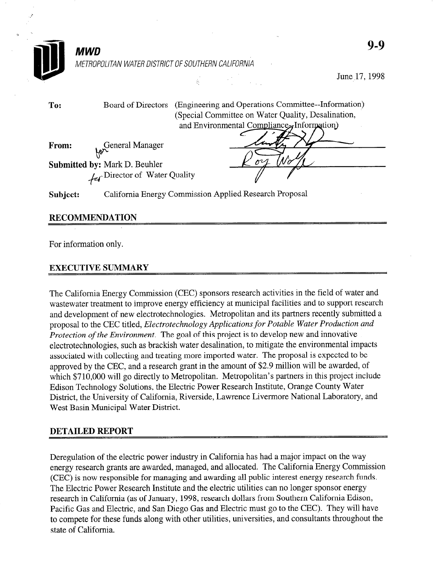|          | <b>MWD</b>                                                            |                                                                                                  | $9-9$                                               |
|----------|-----------------------------------------------------------------------|--------------------------------------------------------------------------------------------------|-----------------------------------------------------|
|          | METROPOLITAN WATER DISTRICT OF SOUTHERN CALIFORNIA                    |                                                                                                  |                                                     |
|          |                                                                       | $\vec{k} = \vec{k} - \vec{k}$                                                                    | June 17, 1998                                       |
| To:      | Board of Directors                                                    | (Special Committee on Water Quality, Desalination,<br>and Environmental Compliance, Information) | (Engineering and Operations Committee--Information) |
| From:    | General Manager                                                       |                                                                                                  |                                                     |
|          | Submitted by: Mark D. Beuhler<br><b>Let</b> Director of Water Quality |                                                                                                  |                                                     |
| Subject: |                                                                       | California Energy Commission Applied Research Proposal                                           |                                                     |

## RECOMMENDATION

For information only.

## EXECUTIVE SUMMARY

The California Energy Commission (CEC) sponsors research activities in the field of water and wastewater treatment to improve energy efficiency at municipal facilities and to support research and development of new electrotechnologies. Metropolitan and its partners recently submitted a proposal to the CEC titled, Electrotechnology Applications for Potable Water Production and Protection of the Environment. The goal of this project is to develop new and innovative electrotechnologies, such as brackish water desalination, to mitigate the environmental impacts associated with collecting and treating more imported water. The proposal is expected to be approved by the CEC, and a research grant in the amount of \$2.9 million will be awarded, of which \$710,000 will go directly to Metropolitan. Metropolitan's partners in this project include Edison Technology Solutions, the Electric Power Research Institute, Orange County Water District, the University of California, Riverside, Lawrence Livermore National Laboratory, and West Basin Municipal Water District.

## DETAILED REPORT

Deregulation of the electric power industry in California has had a major impact on the way energy research grants are awarded, managed, and allocated. The California Energy Commission (CEC) is now responsible for managing and awarding all public interest energy research funds. The Electric Power Research Institute and the electric utilities can no longer sponsor energy research in California (as of January, 1998, research dollars from Southern California Edison, Pacific Gas and Electric, and San Diego Gas and Electric must go to the CEC). They will have to compete for these funds along with other utilities, universities, and consultants throughout the state of California.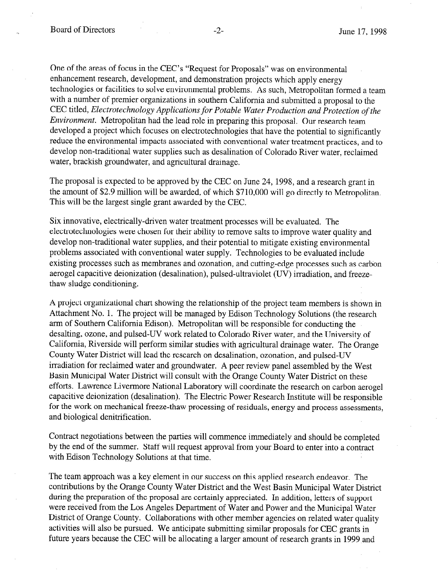One of the areas of focus in the CEC's "Request for Proposals" was on environmental enhancement research, development, and demonstration projects which apply energy technologies or facilities to solve environmental problems. As such, Metropolitan formed a team with a number of premier organizations in southern California and submitted a proposal to the CEC titled, Electrotechnology Applications for Potable Water Production and Protection of the Environment. Metropolitan had the lead role in preparing this proposal. Our research team developed a project which focuses on electrotechnologies that have the potential to significantly reduce the environmental impacts associated with conventional water treatment practices, and to develop non-traditional water supplies such as desalination of Colorado River water, reclaimed water, brackish groundwater, and agricultural drainage.

The proposal is expected to be approved by the CEC on June 24, 1998, and a research grant in the amount of \$2.9 million will be awarded, of which \$710,000 will go directly to Metropolitan. This will be the largest single grant awarded by the CEC.

Six innovative, electrically-driven water treatment processes will be evaluated. The electrotechnologies were chosen for their ability to remove salts to improve water quality and develop non-traditional water supplies, and their potential to mitigate existing environmental problems associated with conventional water supply. Technologies to be evaluated include existing processes such as membranes and ozonation, and cutting-edge processes such as carbon aerogel capacitive deionization (desalination), pulsed-ultraviolet (UV) irradiation, and freezethaw sludge conditioning.

A project organizational chart showing the relationship of the project team members is shown in Attachment No. 1. The project will be managed by Edison Technology Solutions (the research arm of Southern California Edison). Metropolitan will be responsible for conducting the desalting, ozone, and pulsed-UV work related to Colorado River water, and the University of California, Riverside will perform similar studies with agricultural drainage water. The Orange County Water District will lead the research on desalination, ozonation, and pulsed-UV irradiation for reclaimed water and groundwater. A peer review panel assembled by the West Basin Municipal Water District will consult with the Orange County Water District on these efforts. Lawrence Livermore National Laboratory will coordinate the research on carbon aerogel capacitive deionization (desalination). The Electric Power Research Institute will be responsible for the work on mechanical freeze-thaw processing of residuals, energy and process assessments, and biological denitrification.

Contract negotiations between the parties will commence immediately and should be completed by the end of the summer. Staff will request approval from your Board to enter into a contract with Edison Technology Solutions at that time.

The team approach was a key element in our success on this applied research endeavor. The contributions by the Orange County Water District and the West Basin Municipal Water District during the preparation of the proposal are certainly appreciated. In addition, letters of support were received from the Los Angeles Department of Water and Power and the Municipal Water District of Orange County. Collaborations with other member agencies on related water quality activities will also be pursued. We anticipate submitting similar proposals for CEC grants in future years because the CEC will be allocating a larger amount of research grants in 1999 and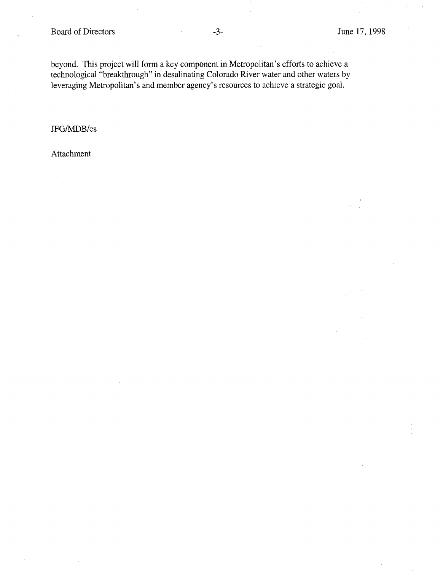beyond. This project will form a key component in Metropolitan's efforts to achieve a technological "breakthrough" in desalinating Colorado River water and other waters by leveraging Metropolitan's and member agency's resources to achieve a strategic goal.

JFG/MDB/cs

Attachment

 $\bar{z}$